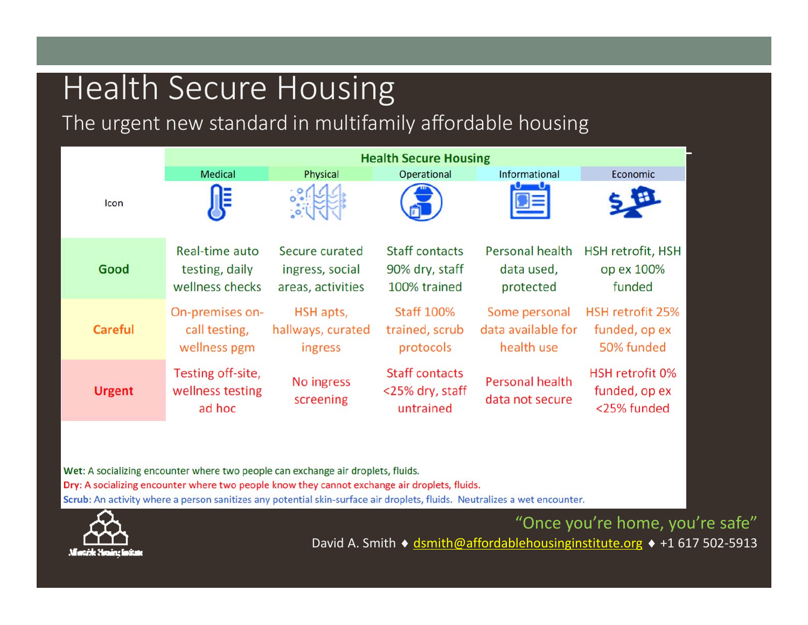## Health Secure Housing

The urgent new standard in multifamily affordable housing



Wet: A socializing encounter where two people can exchange air droplets, fluids. Dry: A socializing encounter where two people know they cannot exchange air droplets, fluids. Scrub: An activity where a person sanitizes any potential skin-surface air droplets, fluids. Neutralizes a wet encounter.



"Once you're home, you're safe" David A. Smith ◆ <u>dsmith@affordablehousinginstitute.org</u> ◆ +1 617 502-5913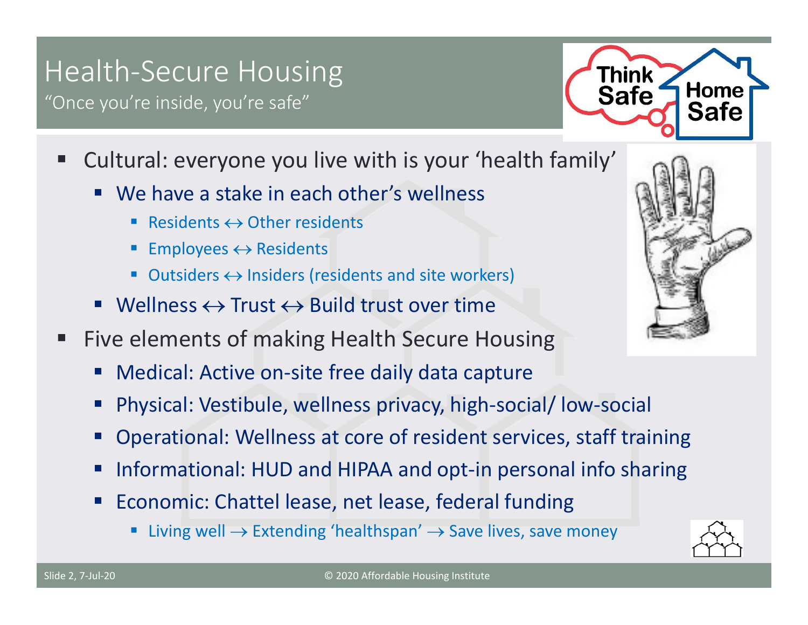## Health‐Secure Housing

"Once you're inside, you're safe"



- $\mathcal{L}^{\text{max}}_{\text{max}}$  Cultural: everyone you live with is your 'health family'
	- We have a stake in each other's wellness
		- Residents  $\leftrightarrow$  Other residents
		- **Employees**  $\leftrightarrow$  **Residents**
		- Outsiders  $\leftrightarrow$  Insiders (residents and site workers)
	- $\blacksquare$  Wellness  $\leftrightarrow$  Trust  $\leftrightarrow$  Build trust over time
- ш Five elements of making Health Secure Housing
	- Medical: Active on-site free daily data capture
	- Physical: Vestibule, wellness privacy, high‐social/ low‐social
	- Operational: Wellness at core of resident services, staff training
	- Informational: HUD and HIPAA and opt‐in personal info sharing
	- **Economic: Chattel lease, net lease, federal funding** 
		- **Extending 'healthspan'**  $\rightarrow$  **Save lives, save money n**



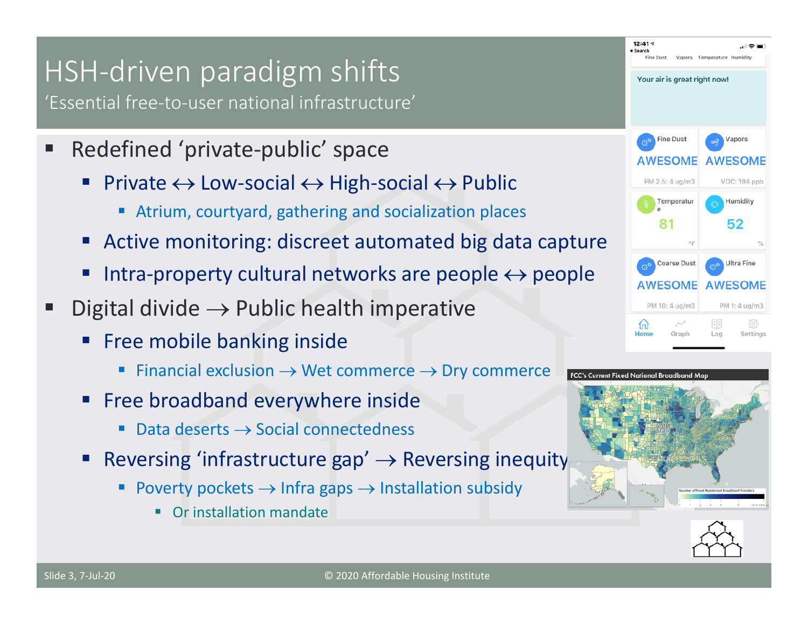## HSH‐driven paradigm shifts

'Essential free‐to‐user national infrastructure'

- $\blacksquare$  Redefined 'private‐public' space
	- Private  $\leftrightarrow$  Low-social  $\leftrightarrow$  High-social  $\leftrightarrow$  Public
		- Atrium, courtyard, gathering and socialization places
	- Active monitoring: discreet automated big data capture
	- Intra-property cultural networks are people  $\leftrightarrow$  people
- Digital divide  $\rightarrow$  Public health imperative
	- Free mobile banking inside
		- П Financial exclusion  $\rightarrow$  Wet commerce  $\rightarrow$  Dry commerce
	- Free broadband everywhere inside
		- П  $\blacksquare$  Data deserts  $\rightarrow$  Social connectedness
	- Reversing 'infrastructure gap'  $\rightarrow$  Reversing inequity
		- П Poverty pockets  $\rightarrow$  Infra gaps  $\rightarrow$  Installation subsidy
			- **Or installation mandate**





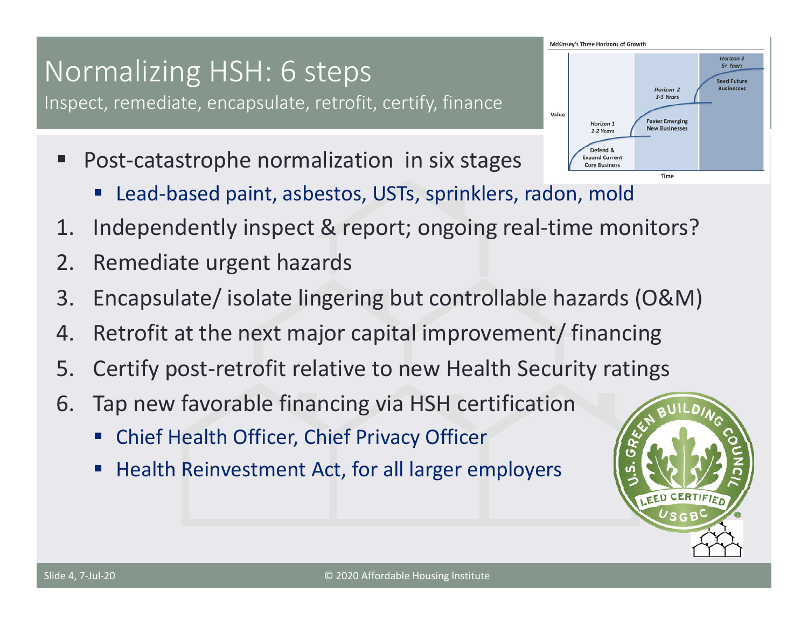#### Slide 4, 7‐Jul‐20

#### © 2020 Affordable Housing Institute

## Normalizing HSH: 6 steps

Inspect, remediate, encapsulate, retrofit, certify, finance

- $\blacksquare$  Post‐catastrophe normalization in six stages
	- Lead‐based paint, asbestos, USTs, sprinklers, radon, mold
- 1. Independently inspect & report; ongoing real-time monitors?
- 2. Remediate urgent hazards
- 3. Encapsulate/ isolate lingering but controllable hazards (O&M)
- 4. Retrofit at the next major capital improvement/ financing
- 5. Certify post-retrofit relative to new Health Security ratings
- 6. Tap new favorable financing via HSH certification
	- Chief Health Officer, Chief Privacy Officer
	- **Health Reinvestment Act, for all larger employers**



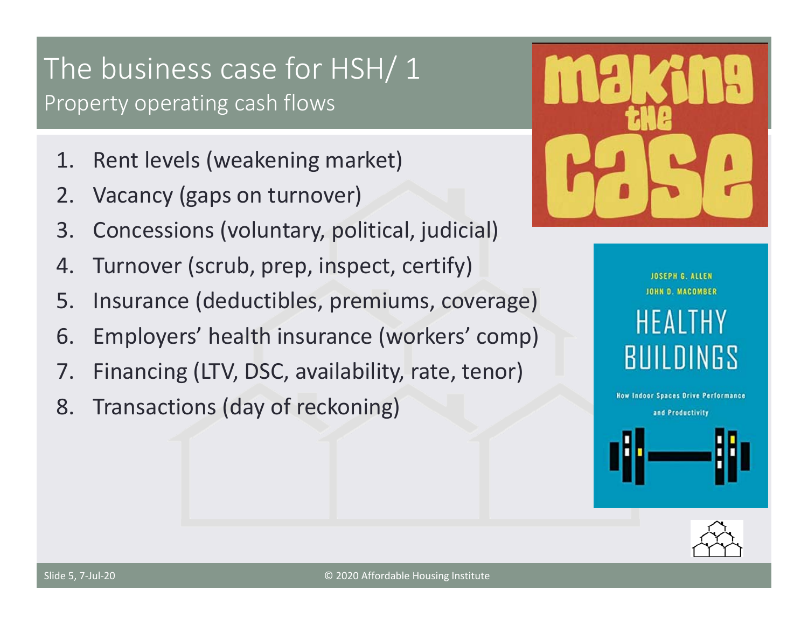### The business case for HSH/ 1 Property operating cash flows

- 1. Rent levels (weakening market)
- 2. Vacancy (gaps on turnover)
- 3. Concessions (voluntary, political, judicial)
- 4. Turnover (scrub, prep, inspect, certify)
- 5. Insurance (deductibles, premiums, coverage)
- 6. Employers' health insurance (workers' comp)
- 7. Financing (LTV, DSC, availability, rate, tenor)
- 8. Transactions (day of reckoning)



**JOSEPH G. ALLEN** JOHN D. MACOMBER HEALTHY **BUILDINGS** 

**How Indoor Spaces Drive Performance** and Productivity